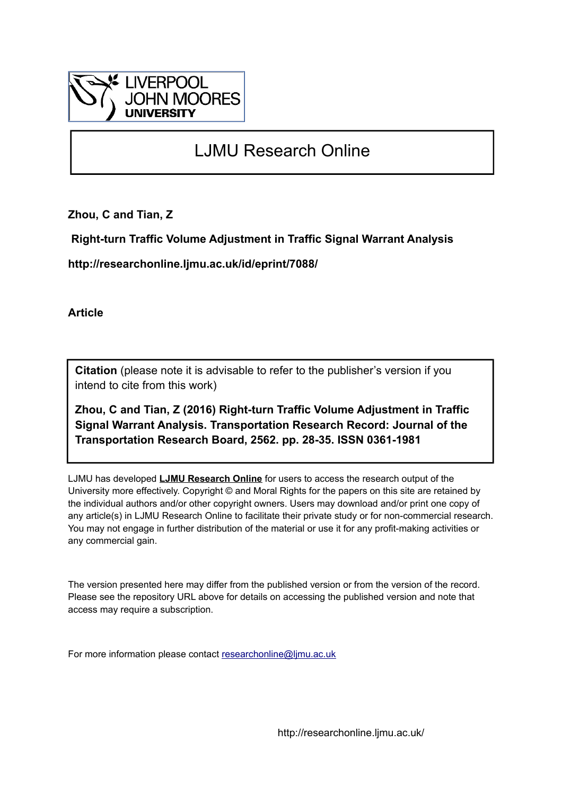

## LJMU Research Online

**Zhou, C and Tian, Z**

 **Right-turn Traffic Volume Adjustment in Traffic Signal Warrant Analysis**

**http://researchonline.ljmu.ac.uk/id/eprint/7088/**

**Article**

**Citation** (please note it is advisable to refer to the publisher's version if you intend to cite from this work)

**Zhou, C and Tian, Z (2016) Right-turn Traffic Volume Adjustment in Traffic Signal Warrant Analysis. Transportation Research Record: Journal of the Transportation Research Board, 2562. pp. 28-35. ISSN 0361-1981** 

LJMU has developed **[LJMU Research Online](http://researchonline.ljmu.ac.uk/)** for users to access the research output of the University more effectively. Copyright © and Moral Rights for the papers on this site are retained by the individual authors and/or other copyright owners. Users may download and/or print one copy of any article(s) in LJMU Research Online to facilitate their private study or for non-commercial research. You may not engage in further distribution of the material or use it for any profit-making activities or any commercial gain.

The version presented here may differ from the published version or from the version of the record. Please see the repository URL above for details on accessing the published version and note that access may require a subscription.

For more information please contact [researchonline@ljmu.ac.uk](mailto:researchonline@ljmu.ac.uk)

http://researchonline.ljmu.ac.uk/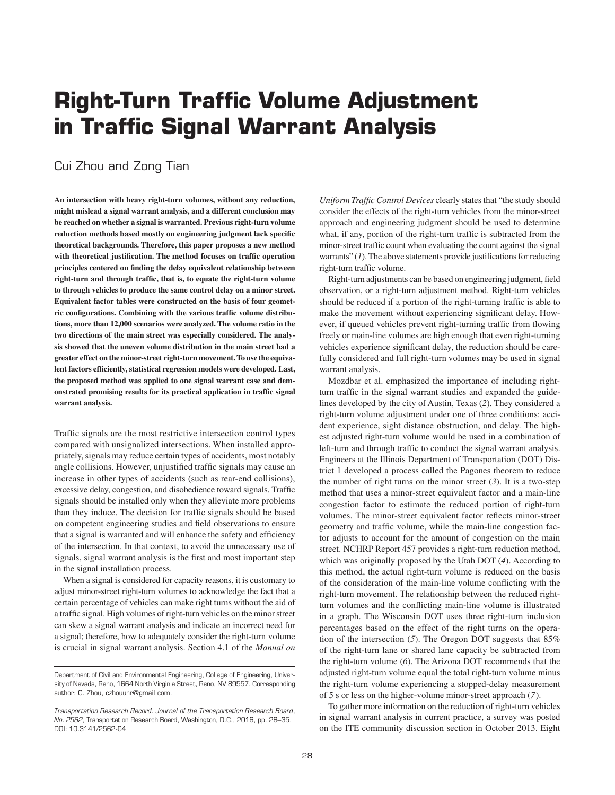# **Right-Turn Traffic Volume Adjustment in Traffic Signal Warrant Analysis**

### Cui Zhou and Zong Tian

**An intersection with heavy right-turn volumes, without any reduction, might mislead a signal warrant analysis, and a different conclusion may be reached on whether a signal is warranted. Previous right-turn volume reduction methods based mostly on engineering judgment lack specific theoretical backgrounds. Therefore, this paper proposes a new method with theoretical justification. The method focuses on traffic operation principles centered on finding the delay equivalent relationship between right-turn and through traffic, that is, to equate the right-turn volume to through vehicles to produce the same control delay on a minor street. Equivalent factor tables were constructed on the basis of four geometric configurations. Combining with the various traffic volume distributions, more than 12,000 scenarios were analyzed. The volume ratio in the two directions of the main street was especially considered. The analysis showed that the uneven volume distribution in the main street had a greater effect on the minor-street right-turn movement. To use the equivalent factors efficiently, statistical regression models were developed. Last, the proposed method was applied to one signal warrant case and demonstrated promising results for its practical application in traffic signal warrant analysis.**

Traffic signals are the most restrictive intersection control types compared with unsignalized intersections. When installed appropriately, signals may reduce certain types of accidents, most notably angle collisions. However, unjustified traffic signals may cause an increase in other types of accidents (such as rear-end collisions), excessive delay, congestion, and disobedience toward signals. Traffic signals should be installed only when they alleviate more problems than they induce. The decision for traffic signals should be based on competent engineering studies and field observations to ensure that a signal is warranted and will enhance the safety and efficiency of the intersection. In that context, to avoid the unnecessary use of signals, signal warrant analysis is the first and most important step in the signal installation process.

When a signal is considered for capacity reasons, it is customary to adjust minor-street right-turn volumes to acknowledge the fact that a certain percentage of vehicles can make right turns without the aid of a traffic signal. High volumes of right-turn vehicles on the minor street can skew a signal warrant analysis and indicate an incorrect need for a signal; therefore, how to adequately consider the right-turn volume is crucial in signal warrant analysis. Section 4.1 of the *Manual on* 

*Uniform Traffic Control Devices* clearly states that "the study should consider the effects of the right-turn vehicles from the minor-street approach and engineering judgment should be used to determine what, if any, portion of the right-turn traffic is subtracted from the minor-street traffic count when evaluating the count against the signal warrants" (*1*). The above statements provide justifications for reducing right-turn traffic volume.

Right-turn adjustments can be based on engineering judgment, field observation, or a right-turn adjustment method. Right-turn vehicles should be reduced if a portion of the right-turning traffic is able to make the movement without experiencing significant delay. However, if queued vehicles prevent right-turning traffic from flowing freely or main-line volumes are high enough that even right-turning vehicles experience significant delay, the reduction should be carefully considered and full right-turn volumes may be used in signal warrant analysis.

Mozdbar et al. emphasized the importance of including rightturn traffic in the signal warrant studies and expanded the guidelines developed by the city of Austin, Texas (*2*). They considered a right-turn volume adjustment under one of three conditions: accident experience, sight distance obstruction, and delay. The highest adjusted right-turn volume would be used in a combination of left-turn and through traffic to conduct the signal warrant analysis. Engineers at the Illinois Department of Transportation (DOT) District 1 developed a process called the Pagones theorem to reduce the number of right turns on the minor street (*3*). It is a two-step method that uses a minor-street equivalent factor and a main-line congestion factor to estimate the reduced portion of right-turn volumes. The minor-street equivalent factor reflects minor-street geometry and traffic volume, while the main-line congestion factor adjusts to account for the amount of congestion on the main street. NCHRP Report 457 provides a right-turn reduction method, which was originally proposed by the Utah DOT (*4*). According to this method, the actual right-turn volume is reduced on the basis of the consideration of the main-line volume conflicting with the right-turn movement. The relationship between the reduced rightturn volumes and the conflicting main-line volume is illustrated in a graph. The Wisconsin DOT uses three right-turn inclusion percentages based on the effect of the right turns on the operation of the intersection (*5*). The Oregon DOT suggests that 85% of the right-turn lane or shared lane capacity be subtracted from the right-turn volume (*6*). The Arizona DOT recommends that the adjusted right-turn volume equal the total right-turn volume minus the right-turn volume experiencing a stopped-delay measurement of 5 s or less on the higher-volume minor-street approach (*7*).

To gather more information on the reduction of right-turn vehicles in signal warrant analysis in current practice, a survey was posted on the ITE community discussion section in October 2013. Eight

Department of Civil and Environmental Engineering, College of Engineering, University of Nevada, Reno, 1664 North Virginia Street, Reno, NV 89557. Corresponding author: C. Zhou, czhouunr@gmail.com.

Transportation Research Record: Journal of the Transportation Research Board, No. 2562, Transportation Research Board, Washington, D.C., 2016, pp. 28–35. DOI: 10.3141/2562-04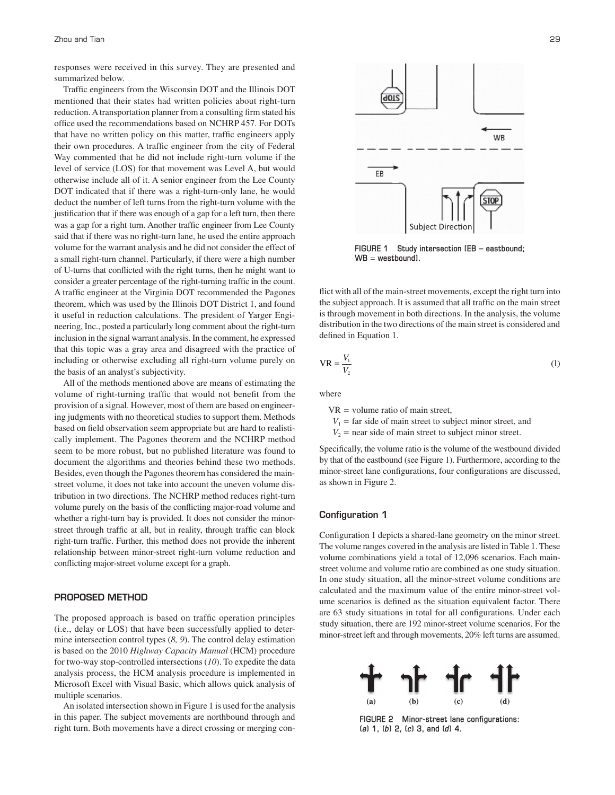responses were received in this survey. They are presented and summarized below.

Traffic engineers from the Wisconsin DOT and the Illinois DOT mentioned that their states had written policies about right-turn reduction. A transportation planner from a consulting firm stated his office used the recommendations based on NCHRP 457. For DOTs that have no written policy on this matter, traffic engineers apply their own procedures. A traffic engineer from the city of Federal Way commented that he did not include right-turn volume if the level of service (LOS) for that movement was Level A, but would otherwise include all of it. A senior engineer from the Lee County DOT indicated that if there was a right-turn-only lane, he would deduct the number of left turns from the right-turn volume with the justification that if there was enough of a gap for a left turn, then there was a gap for a right turn. Another traffic engineer from Lee County said that if there was no right-turn lane, he used the entire approach volume for the warrant analysis and he did not consider the effect of a small right-turn channel. Particularly, if there were a high number of U-turns that conflicted with the right turns, then he might want to consider a greater percentage of the right-turning traffic in the count. A traffic engineer at the Virginia DOT recommended the Pagones theorem, which was used by the Illinois DOT District 1, and found it useful in reduction calculations. The president of Yarger Engineering, Inc., posted a particularly long comment about the right-turn inclusion in the signal warrant analysis. In the comment, he expressed that this topic was a gray area and disagreed with the practice of including or otherwise excluding all right-turn volume purely on the basis of an analyst's subjectivity.

All of the methods mentioned above are means of estimating the volume of right-turning traffic that would not benefit from the provision of a signal. However, most of them are based on engineering judgments with no theoretical studies to support them. Methods based on field observation seem appropriate but are hard to realistically implement. The Pagones theorem and the NCHRP method seem to be more robust, but no published literature was found to document the algorithms and theories behind these two methods. Besides, even though the Pagones theorem has considered the mainstreet volume, it does not take into account the uneven volume distribution in two directions. The NCHRP method reduces right-turn volume purely on the basis of the conflicting major-road volume and whether a right-turn bay is provided. It does not consider the minorstreet through traffic at all, but in reality, through traffic can block right-turn traffic. Further, this method does not provide the inherent relationship between minor-street right-turn volume reduction and conflicting major-street volume except for a graph.

#### Proposed Method

The proposed approach is based on traffic operation principles (i.e., delay or LOS) that have been successfully applied to determine intersection control types (*8, 9*). The control delay estimation is based on the 2010 *Highway Capacity Manual* (HCM) procedure for two-way stop-controlled intersections (*10*). To expedite the data analysis process, the HCM analysis procedure is implemented in Microsoft Excel with Visual Basic, which allows quick analysis of multiple scenarios.

An isolated intersection shown in Figure 1 is used for the analysis in this paper. The subject movements are northbound through and right turn. Both movements have a direct crossing or merging con-



**FIGURE 1 Study intersection IEB = eastbound; WB** = **westbound].**

flict with all of the main-street movements, except the right turn into the subject approach. It is assumed that all traffic on the main street is through movement in both directions. In the analysis, the volume distribution in the two directions of the main street is considered and defined in Equation 1.

$$
VR = \frac{V_1}{V_2} \tag{1}
$$

where

 $VR =$  volume ratio of main street.

 $V_1$  = far side of main street to subject minor street, and

 $V_2$  = near side of main street to subject minor street.

Specifically, the volume ratio is the volume of the westbound divided by that of the eastbound (see Figure 1). Furthermore, according to the minor-street lane configurations, four configurations are discussed, as shown in Figure 2.

#### Configuration 1

Configuration 1 depicts a shared-lane geometry on the minor street. The volume ranges covered in the analysis are listed in Table 1. These volume combinations yield a total of 12,096 scenarios. Each mainstreet volume and volume ratio are combined as one study situation. In one study situation, all the minor-street volume conditions are calculated and the maximum value of the entire minor-street volume scenarios is defined as the situation equivalent factor. There are 63 study situations in total for all configurations. Under each study situation, there are 192 minor-street volume scenarios. For the minor-street left and through movements, 20% left turns are assumed.



**FIGURE 2 Minor-street lane configurations: (***a***) 1, (***b***) 2, (***c***) 3, and (***d***) 4.**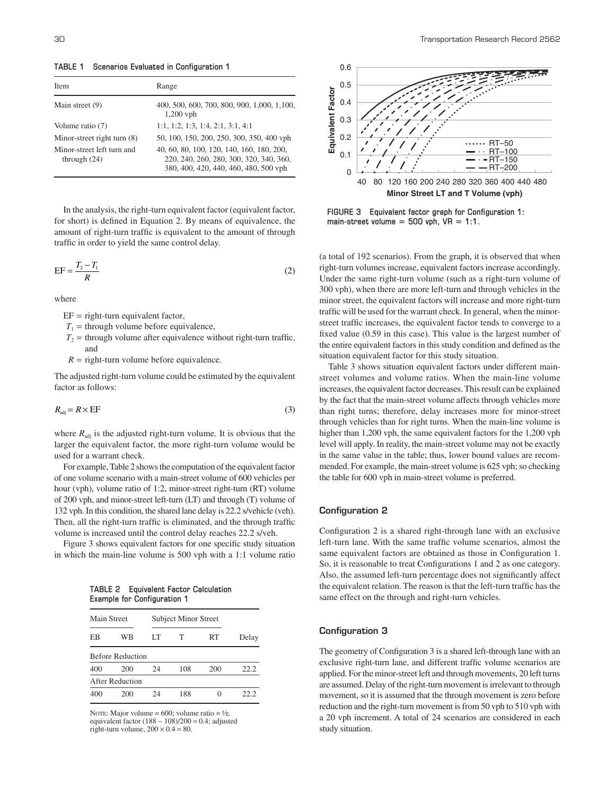**TABLE 1 Scenarios Evaluated in Configuration 1**

| Item                                         | Range                                                                                                                         |
|----------------------------------------------|-------------------------------------------------------------------------------------------------------------------------------|
| Main street (9)                              | 400, 500, 600, 700, 800, 900, 1,000, 1,100,<br>$1,200$ vph                                                                    |
| Volume ratio (7)                             | 1:1, 1:2, 1:3, 1:4, 2:1, 3:1, 4:1                                                                                             |
| Minor-street right turn (8)                  | 50, 100, 150, 200, 250, 300, 350, 400 vph                                                                                     |
| Minor-street left turn and<br>through $(24)$ | 40, 60, 80, 100, 120, 140, 160, 180, 200,<br>220, 240, 260, 280, 300, 320, 340, 360,<br>380, 400, 420, 440, 460, 480, 500 vph |

In the analysis, the right-turn equivalent factor (equivalent factor, for short) is defined in Equation 2. By means of equivalence, the amount of right-turn traffic is equivalent to the amount of through traffic in order to yield the same control delay.

$$
EF = \frac{T_2 - T_1}{R}
$$
 (2)

where

- $EF = right$ -turn equivalent factor,
- $T_1$  = through volume before equivalence,
- $T_2$  = through volume after equivalence without right-turn traffic, and
- $R =$  right-turn volume before equivalence.

The adjusted right-turn volume could be estimated by the equivalent factor as follows:

$$
R_{\text{adj}} = R \times EF \tag{3}
$$

where  $R_{\text{adj}}$  is the adjusted right-turn volume. It is obvious that the larger the equivalent factor, the more right-turn volume would be used for a warrant check.

For example, Table 2 shows the computation of the equivalent factor of one volume scenario with a main-street volume of 600 vehicles per hour (vph), volume ratio of 1:2, minor-street right-turn (RT) volume of 200 vph, and minor-street left-turn (LT) and through (T) volume of 132 vph. In this condition, the shared lane delay is 22.2 s/vehicle (veh). Then, all the right-turn traffic is eliminated, and the through traffic volume is increased until the control delay reaches 22.2 s/veh.

Figure 3 shows equivalent factors for one specific study situation in which the main-line volume is 500 vph with a 1:1 volume ratio

**TABLE 2 Equivalent Factor Calculation Example for Configuration 1**

| Main Street     |                         |    | <b>Subject Minor Street</b> |     |       |  |  |  |  |
|-----------------|-------------------------|----|-----------------------------|-----|-------|--|--|--|--|
| ΕB              | WB                      |    | т                           | RT  | Delay |  |  |  |  |
|                 | <b>Before Reduction</b> |    |                             |     |       |  |  |  |  |
| 400             | 200                     | 24 | 108                         | 200 | 22.2  |  |  |  |  |
| After Reduction |                         |    |                             |     |       |  |  |  |  |
| 400             | 200                     | 7Δ | 188                         |     | つつ つ  |  |  |  |  |

NOTE: Major volume =  $600$ ; volume ratio =  $\frac{1}{2}$ ; equivalent factor  $(188 - 108)/200 = 0.4$ ; adjusted right-turn volume,  $200 \times 0.4 = 80$ .





**FIGURE 3 Equivalent factor graph for Configuration 1:**   $main\text{-}street volume = 500 vph, VR = 1:1.$ 

(a total of 192 scenarios). From the graph, it is observed that when right-turn volumes increase, equivalent factors increase accordingly. Under the same right-turn volume (such as a right-turn volume of 300 vph), when there are more left-turn and through vehicles in the minor street, the equivalent factors will increase and more right-turn traffic will be used for the warrant check. In general, when the minorstreet traffic increases, the equivalent factor tends to converge to a fixed value (0.59 in this case). This value is the largest number of the entire equivalent factors in this study condition and defined as the situation equivalent factor for this study situation.

Table 3 shows situation equivalent factors under different mainstreet volumes and volume ratios. When the main-line volume increases, the equivalent factor decreases. This result can be explained by the fact that the main-street volume affects through vehicles more than right turns; therefore, delay increases more for minor-street through vehicles than for right turns. When the main-line volume is higher than 1,200 vph, the same equivalent factors for the 1,200 vph level will apply. In reality, the main-street volume may not be exactly in the same value in the table; thus, lower bound values are recommended. For example, the main-street volume is 625 vph; so checking the table for 600 vph in main-street volume is preferred.

#### Configuration 2

Configuration 2 is a shared right-through lane with an exclusive left-turn lane. With the same traffic volume scenarios, almost the same equivalent factors are obtained as those in Configuration 1. So, it is reasonable to treat Configurations 1 and 2 as one category. Also, the assumed left-turn percentage does not significantly affect the equivalent relation. The reason is that the left-turn traffic has the same effect on the through and right-turn vehicles.

#### Configuration 3

The geometry of Configuration 3 is a shared left-through lane with an exclusive right-turn lane, and different traffic volume scenarios are applied. For the minor-street left and through movements, 20 left turns are assumed. Delay of the right-turn movement is irrelevant to through movement, so it is assumed that the through movement is zero before reduction and the right-turn movement is from 50 vph to 510 vph with a 20 vph increment. A total of 24 scenarios are considered in each study situation.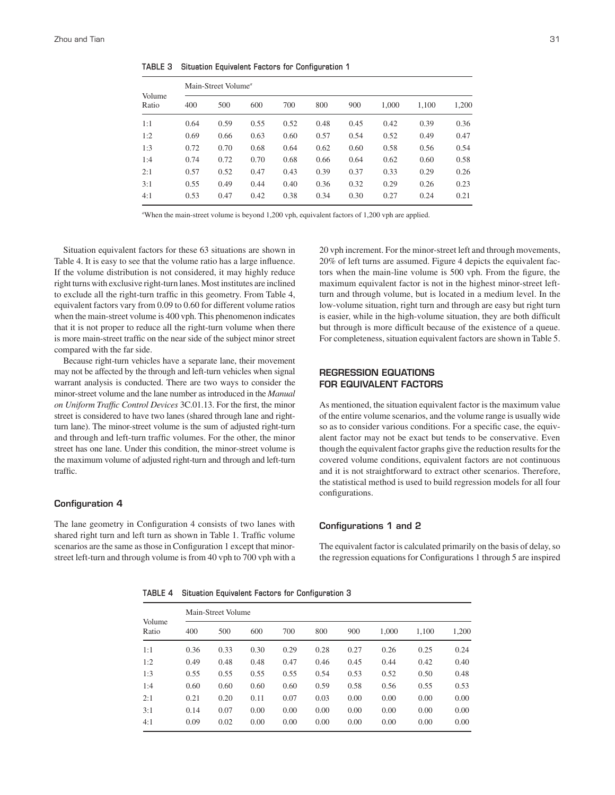**TABLE 3 Situation Equivalent Factors for Configuration 1**

|                 |      | Main-Street Volume <sup><i>a</i></sup> |      |      |      |      |       |       |       |  |  |  |  |
|-----------------|------|----------------------------------------|------|------|------|------|-------|-------|-------|--|--|--|--|
| Volume<br>Ratio | 400  | 500                                    | 600  | 700  | 800  | 900  | 1.000 | 1,100 | 1,200 |  |  |  |  |
| 1:1             | 0.64 | 0.59                                   | 0.55 | 0.52 | 0.48 | 0.45 | 0.42  | 0.39  | 0.36  |  |  |  |  |
| 1:2             | 0.69 | 0.66                                   | 0.63 | 0.60 | 0.57 | 0.54 | 0.52  | 0.49  | 0.47  |  |  |  |  |
| 1:3             | 0.72 | 0.70                                   | 0.68 | 0.64 | 0.62 | 0.60 | 0.58  | 0.56  | 0.54  |  |  |  |  |
| 1:4             | 0.74 | 0.72                                   | 0.70 | 0.68 | 0.66 | 0.64 | 0.62  | 0.60  | 0.58  |  |  |  |  |
| 2:1             | 0.57 | 0.52                                   | 0.47 | 0.43 | 0.39 | 0.37 | 0.33  | 0.29  | 0.26  |  |  |  |  |
| 3:1             | 0.55 | 0.49                                   | 0.44 | 0.40 | 0.36 | 0.32 | 0.29  | 0.26  | 0.23  |  |  |  |  |
| 4:1             | 0.53 | 0.47                                   | 0.42 | 0.38 | 0.34 | 0.30 | 0.27  | 0.24  | 0.21  |  |  |  |  |

*a* When the main-street volume is beyond 1,200 vph, equivalent factors of 1,200 vph are applied.

Situation equivalent factors for these 63 situations are shown in Table 4. It is easy to see that the volume ratio has a large influence. If the volume distribution is not considered, it may highly reduce right turns with exclusive right-turn lanes. Most institutes are inclined to exclude all the right-turn traffic in this geometry. From Table 4, equivalent factors vary from 0.09 to 0.60 for different volume ratios when the main-street volume is 400 vph. This phenomenon indicates that it is not proper to reduce all the right-turn volume when there is more main-street traffic on the near side of the subject minor street compared with the far side.

Because right-turn vehicles have a separate lane, their movement may not be affected by the through and left-turn vehicles when signal warrant analysis is conducted. There are two ways to consider the minor-street volume and the lane number as introduced in the *Manual on Uniform Traffic Control Devices* 3C.01.13. For the first, the minor street is considered to have two lanes (shared through lane and rightturn lane). The minor-street volume is the sum of adjusted right-turn and through and left-turn traffic volumes. For the other, the minor street has one lane. Under this condition, the minor-street volume is the maximum volume of adjusted right-turn and through and left-turn traffic.

#### Configuration 4

The lane geometry in Configuration 4 consists of two lanes with shared right turn and left turn as shown in Table 1. Traffic volume scenarios are the same as those in Configuration 1 except that minorstreet left-turn and through volume is from 40 vph to 700 vph with a 20 vph increment. For the minor-street left and through movements, 20% of left turns are assumed. Figure 4 depicts the equivalent factors when the main-line volume is 500 vph. From the figure, the maximum equivalent factor is not in the highest minor-street leftturn and through volume, but is located in a medium level. In the low-volume situation, right turn and through are easy but right turn is easier, while in the high-volume situation, they are both difficult but through is more difficult because of the existence of a queue. For completeness, situation equivalent factors are shown in Table 5.

#### Regression Equations for Equivalent Factors

As mentioned, the situation equivalent factor is the maximum value of the entire volume scenarios, and the volume range is usually wide so as to consider various conditions. For a specific case, the equivalent factor may not be exact but tends to be conservative. Even though the equivalent factor graphs give the reduction results for the covered volume conditions, equivalent factors are not continuous and it is not straightforward to extract other scenarios. Therefore, the statistical method is used to build regression models for all four configurations.

#### Configurations 1 and 2

The equivalent factor is calculated primarily on the basis of delay, so the regression equations for Configurations 1 through 5 are inspired

**TABLE 4 Situation Equivalent Factors for Configuration 3**

| Volume<br>Ratio | Main-Street Volume |      |      |      |      |      |       |       |       |  |  |  |
|-----------------|--------------------|------|------|------|------|------|-------|-------|-------|--|--|--|
|                 | 400                | 500  | 600  | 700  | 800  | 900  | 1.000 | 1.100 | 1,200 |  |  |  |
| 1:1             | 0.36               | 0.33 | 0.30 | 0.29 | 0.28 | 0.27 | 0.26  | 0.25  | 0.24  |  |  |  |
| 1:2             | 0.49               | 0.48 | 0.48 | 0.47 | 0.46 | 0.45 | 0.44  | 0.42  | 0.40  |  |  |  |
| 1:3             | 0.55               | 0.55 | 0.55 | 0.55 | 0.54 | 0.53 | 0.52  | 0.50  | 0.48  |  |  |  |
| 1:4             | 0.60               | 0.60 | 0.60 | 0.60 | 0.59 | 0.58 | 0.56  | 0.55  | 0.53  |  |  |  |
| 2:1             | 0.21               | 0.20 | 0.11 | 0.07 | 0.03 | 0.00 | 0.00  | 0.00  | 0.00  |  |  |  |
| 3:1             | 0.14               | 0.07 | 0.00 | 0.00 | 0.00 | 0.00 | 0.00  | 0.00  | 0.00  |  |  |  |
| 4:1             | 0.09               | 0.02 | 0.00 | 0.00 | 0.00 | 0.00 | 0.00  | 0.00  | 0.00  |  |  |  |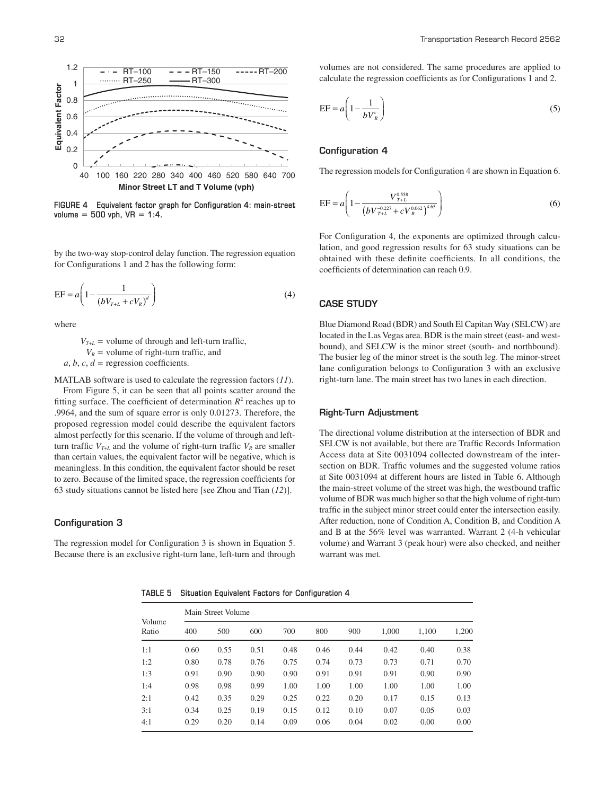

**FIGURE 4 Equivalent factor graph for Configuration 4: main-street volume** 5 **500 vph, VR** 5 **1:4.**

by the two-way stop-control delay function. The regression equation for Configurations 1 and 2 has the following form:

$$
EF = a \left( 1 - \frac{1}{(bV_{T+L} + cV_R)^d} \right)
$$
 (4)

where

 $V_{T+L}$  = volume of through and left-turn traffic,  $V_R$  = volume of right-turn traffic, and  $a, b, c, d$  = regression coefficients.

MATLAB software is used to calculate the regression factors (*11*).

From Figure 5, it can be seen that all points scatter around the fitting surface. The coefficient of determination  $R^2$  reaches up to .9964, and the sum of square error is only 0.01273. Therefore, the proposed regression model could describe the equivalent factors almost perfectly for this scenario. If the volume of through and leftturn traffic  $V_{T+L}$  and the volume of right-turn traffic  $V_R$  are smaller than certain values, the equivalent factor will be negative, which is meaningless. In this condition, the equivalent factor should be reset to zero. Because of the limited space, the regression coefficients for 63 study situations cannot be listed here [see Zhou and Tian (*12*)].

#### Configuration 3

The regression model for Configuration 3 is shown in Equation 5. Because there is an exclusive right-turn lane, left-turn and through

volumes are not considered. The same procedures are applied to calculate the regression coefficients as for Configurations 1 and 2.

$$
EF = a \left( 1 - \frac{1}{bV_R^c} \right) \tag{5}
$$

#### Configuration 4

The regression models for Configuration 4 are shown in Equation 6.

$$
EF = a \left( 1 - \frac{V_{T+L}^{0.558}}{\left(bV_{T+L}^{-0.227} + cV_{R}^{0.062}\right)^{4.65}} \right)
$$
 (6)

For Configuration 4, the exponents are optimized through calculation, and good regression results for 63 study situations can be obtained with these definite coefficients. In all conditions, the coefficients of determination can reach 0.9.

#### **CASE STUDY**

Blue Diamond Road (BDR) and South El Capitan Way (SELCW) are located in the Las Vegas area. BDR is the main street (east- and westbound), and SELCW is the minor street (south- and northbound). The busier leg of the minor street is the south leg. The minor-street lane configuration belongs to Configuration 3 with an exclusive right-turn lane. The main street has two lanes in each direction.

#### Right-Turn Adjustment

The directional volume distribution at the intersection of BDR and SELCW is not available, but there are Traffic Records Information Access data at Site 0031094 collected downstream of the intersection on BDR. Traffic volumes and the suggested volume ratios at Site 0031094 at different hours are listed in Table 6. Although the main-street volume of the street was high, the westbound traffic volume of BDR was much higher so that the high volume of right-turn traffic in the subject minor street could enter the intersection easily. After reduction, none of Condition A, Condition B, and Condition A and B at the 56% level was warranted. Warrant 2 (4-h vehicular volume) and Warrant 3 (peak hour) were also checked, and neither warrant was met.

**TABLE 5 Situation Equivalent Factors for Configuration 4**

| Volume<br>Ratio | Main-Street Volume |      |      |      |      |      |       |       |       |  |  |  |
|-----------------|--------------------|------|------|------|------|------|-------|-------|-------|--|--|--|
|                 | 400                | 500  | 600  | 700  | 800  | 900  | 1.000 | 1.100 | 1,200 |  |  |  |
| 1:1             | 0.60               | 0.55 | 0.51 | 0.48 | 0.46 | 0.44 | 0.42  | 0.40  | 0.38  |  |  |  |
| 1:2             | 0.80               | 0.78 | 0.76 | 0.75 | 0.74 | 0.73 | 0.73  | 0.71  | 0.70  |  |  |  |
| 1:3             | 0.91               | 0.90 | 0.90 | 0.90 | 0.91 | 0.91 | 0.91  | 0.90  | 0.90  |  |  |  |
| 1:4             | 0.98               | 0.98 | 0.99 | 1.00 | 1.00 | 1.00 | 1.00  | 1.00  | 1.00  |  |  |  |
| 2:1             | 0.42               | 0.35 | 0.29 | 0.25 | 0.22 | 0.20 | 0.17  | 0.15  | 0.13  |  |  |  |
| 3:1             | 0.34               | 0.25 | 0.19 | 0.15 | 0.12 | 0.10 | 0.07  | 0.05  | 0.03  |  |  |  |
| 4:1             | 0.29               | 0.20 | 0.14 | 0.09 | 0.06 | 0.04 | 0.02  | 0.00  | 0.00  |  |  |  |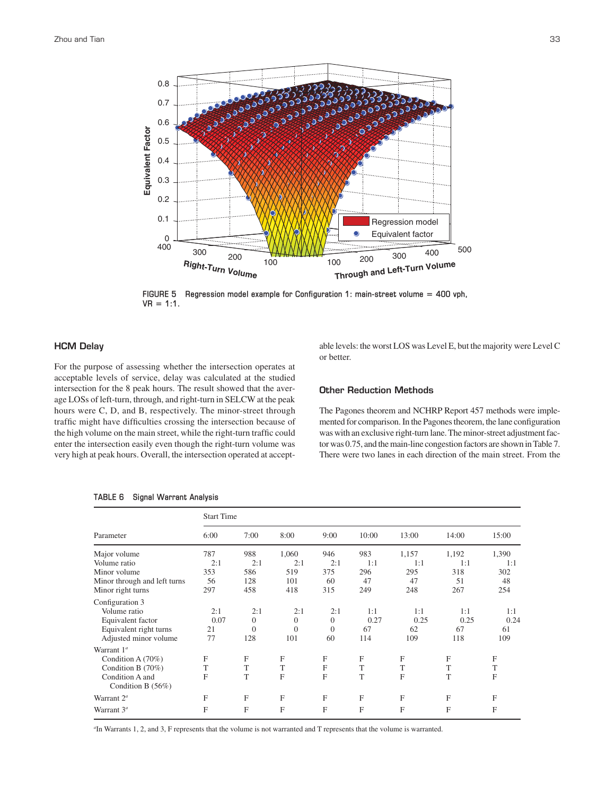

**FIGURE 5** Regression model example for Configuration 1: main-street volume = 400 vph,  $VR = 1:1.$ 

#### HCM Delay

For the purpose of assessing whether the intersection operates at acceptable levels of service, delay was calculated at the studied intersection for the 8 peak hours. The result showed that the average LOSs of left-turn, through, and right-turn in SELCW at the peak hours were C, D, and B, respectively. The minor-street through traffic might have difficulties crossing the intersection because of the high volume on the main street, while the right-turn traffic could enter the intersection easily even though the right-turn volume was very high at peak hours. Overall, the intersection operated at acceptable levels: the worst LOS was Level E, but the majority were Level C or better.

#### Other Reduction Methods

The Pagones theorem and NCHRP Report 457 methods were implemented for comparison. In the Pagones theorem, the lane configuration was with an exclusive right-turn lane. The minor-street adjustment factor was 0.75, and the main-line congestion factors are shown in Table 7. There were two lanes in each direction of the main street. From the

|                                                                                                         | <b>Start Time</b>              |                                    |                                    |                                   |                                |                                  |                                  |                                  |  |  |
|---------------------------------------------------------------------------------------------------------|--------------------------------|------------------------------------|------------------------------------|-----------------------------------|--------------------------------|----------------------------------|----------------------------------|----------------------------------|--|--|
| Parameter                                                                                               | 6:00                           | 7:00                               | 8:00                               | 9:00                              | 10:00                          | 13:00                            | 14:00                            | 15:00                            |  |  |
| Major volume<br>Volume ratio<br>Minor volume<br>Minor through and left turns<br>Minor right turns       | 787<br>2:1<br>353<br>56<br>297 | 988<br>2:1<br>586<br>128<br>458    | 1,060<br>2:1<br>519<br>101<br>418  | 946<br>2:1<br>375<br>60<br>315    | 983<br>1:1<br>296<br>47<br>249 | 1,157<br>1:1<br>295<br>47<br>248 | 1,192<br>1:1<br>318<br>51<br>267 | 1,390<br>1:1<br>302<br>48<br>254 |  |  |
| Configuration 3<br>Volume ratio<br>Equivalent factor<br>Equivalent right turns<br>Adjusted minor volume | 2:1<br>0.07<br>21<br>77        | 2:1<br>$\Omega$<br>$\theta$<br>128 | 2:1<br>$\Omega$<br>$\Omega$<br>101 | 2:1<br>$\Omega$<br>$\Omega$<br>60 | 1:1<br>0.27<br>67<br>114       | 1:1<br>0.25<br>62<br>109         | 1:1<br>0.25<br>67<br>118         | 1:1<br>0.24<br>61<br>109         |  |  |
| Warrant $1^a$<br>Condition A (70%)<br>Condition B $(70\%)$<br>Condition A and<br>Condition B $(56\%)$   | F<br>T<br>$\mathbf{F}$         | F<br>T<br>T                        | F<br>T<br>F                        | F<br>$\mathbf{F}$<br>F            | F<br>T<br>T                    | F<br>T<br>F                      | F<br>T<br>T                      | F<br>T<br>F                      |  |  |
| Warrant $2^a$<br>Warrant $3^a$                                                                          | $\mathbf{F}$<br>$\mathbf{F}$   | F<br>F                             | F<br>F                             | $\mathbf{F}$<br>F                 | F<br>F                         | F<br>F                           | F<br>F                           | F<br>F                           |  |  |

**TABLE 6 Signal Warrant Analysis**

*a* In Warrants 1, 2, and 3, F represents that the volume is not warranted and T represents that the volume is warranted.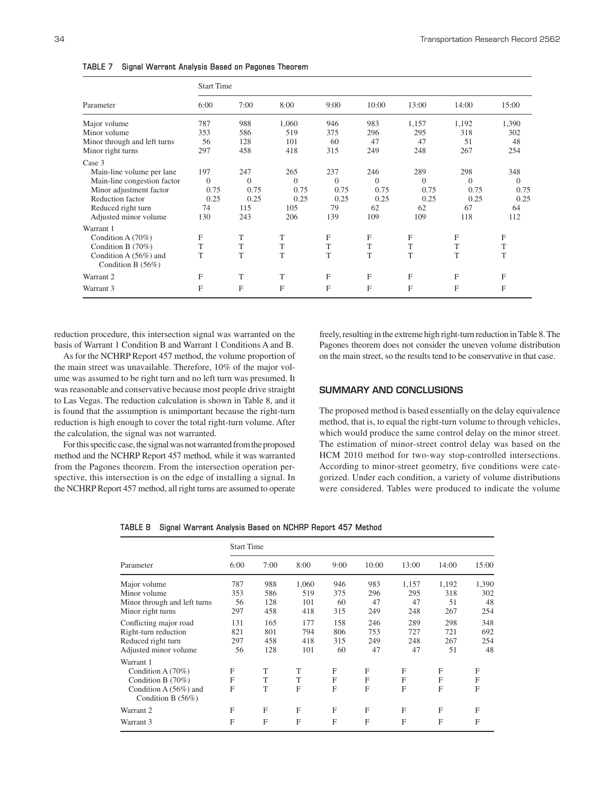**TABLE 7 Signal Warrant Analysis Based on Pagones Theorem**

|                              | <b>Start Time</b> |          |              |          |              |             |             |          |  |  |  |
|------------------------------|-------------------|----------|--------------|----------|--------------|-------------|-------------|----------|--|--|--|
| Parameter                    | 6:00              | 7:00     | 8:00         | 9:00     | 10:00        | 13:00       | 14:00       | 15:00    |  |  |  |
| Major volume                 | 787               | 988      | 1,060        | 946      | 983          | 1,157       | 1,192       | 1,390    |  |  |  |
| Minor volume                 | 353               | 586      | 519          | 375      | 296          | 295         | 318         | 302      |  |  |  |
| Minor through and left turns | 56                | 128      | 101          | 60       | 47           | 47          | 51          | 48       |  |  |  |
| Minor right turns            | 297               | 458      | 418          | 315      | 249          | 248         | 267         | 254      |  |  |  |
| Case 3                       |                   |          |              |          |              |             |             |          |  |  |  |
| Main-line volume per lane    | 197               | 247      | 265          | 237      | 246          | 289         | 298         | 348      |  |  |  |
| Main-line congestion factor  | $\theta$          | $\theta$ | $\Omega$     | $\Omega$ | $\Omega$     | $\Omega$    | $\Omega$    | $\Omega$ |  |  |  |
| Minor adjustment factor      | 0.75              | 0.75     | 0.75         | 0.75     | 0.75         | 0.75        | 0.75        | 0.75     |  |  |  |
| Reduction factor             | 0.25              | 0.25     | 0.25         | 0.25     | 0.25         | 0.25        | 0.25        | 0.25     |  |  |  |
| Reduced right turn           | 74                | 115      | 105          | 79       | 62           | 62          | 67          | 64       |  |  |  |
| Adjusted minor volume        | 130               | 243      | 206          | 139      | 109          | 109         | 118         | 112      |  |  |  |
| Warrant 1                    |                   |          |              |          |              |             |             |          |  |  |  |
| Condition A $(70\%)$         | F                 | T        | T            | F        | F            | $\mathbf F$ | F           | F        |  |  |  |
| Condition B $(70\%)$         | T                 | T        | T            | T        | T            | T           | $\mathbf T$ | T        |  |  |  |
| Condition A $(56%)$ and      | T                 | T        | T            | T        | T            | T           | T           | T        |  |  |  |
| Condition B $(56\%)$         |                   |          |              |          |              |             |             |          |  |  |  |
| Warrant 2                    | F                 | T        | T            | F        | $\mathbf{F}$ | F           | F           | F        |  |  |  |
| Warrant 3                    | F                 | F        | $\mathbf{F}$ | F        | $\mathbf{F}$ | F           | F           | F        |  |  |  |

reduction procedure, this intersection signal was warranted on the basis of Warrant 1 Condition B and Warrant 1 Conditions A and B.

As for the NCHRP Report 457 method, the volume proportion of the main street was unavailable. Therefore, 10% of the major volume was assumed to be right turn and no left turn was presumed. It was reasonable and conservative because most people drive straight to Las Vegas. The reduction calculation is shown in Table 8, and it is found that the assumption is unimportant because the right-turn reduction is high enough to cover the total right-turn volume. After the calculation, the signal was not warranted.

For this specific case, the signal was not warranted from the proposed method and the NCHRP Report 457 method, while it was warranted from the Pagones theorem. From the intersection operation perspective, this intersection is on the edge of installing a signal. In the NCHRP Report 457 method, all right turns are assumed to operate freely, resulting in the extreme high right-turn reduction in Table 8. The Pagones theorem does not consider the uneven volume distribution on the main street, so the results tend to be conservative in that case.

#### Summary and Conclusions

The proposed method is based essentially on the delay equivalence method, that is, to equal the right-turn volume to through vehicles, which would produce the same control delay on the minor street. The estimation of minor-street control delay was based on the HCM 2010 method for two-way stop-controlled intersections. According to minor-street geometry, five conditions were categorized. Under each condition, a variety of volume distributions were considered. Tables were produced to indicate the volume

|  |  |  |  |  |  | TABLE 8 Signal Warrant Analysis Based on NCHRP Report 457 Method |  |  |
|--|--|--|--|--|--|------------------------------------------------------------------|--|--|
|--|--|--|--|--|--|------------------------------------------------------------------|--|--|

|                                                                                                               | <b>Start Time</b>                            |             |             |             |             |             |                                              |             |  |  |
|---------------------------------------------------------------------------------------------------------------|----------------------------------------------|-------------|-------------|-------------|-------------|-------------|----------------------------------------------|-------------|--|--|
| Parameter                                                                                                     | 6:00                                         | 7:00        | 8:00        | 9:00        | 10:00       | 13:00       | 14:00                                        | 15:00       |  |  |
| Major volume                                                                                                  | 787                                          | 988         | 1,060       | 946         | 983         | 1,157       | 1,192                                        | 1,390       |  |  |
| Minor volume                                                                                                  | 353                                          | 586         | 519         | 375         | 296         | 295         | 318                                          | 302         |  |  |
| Minor through and left turns                                                                                  | 56                                           | 128         | 101         | 60          | 47          | 47          | 51                                           | 48          |  |  |
| Minor right turns                                                                                             | 297                                          | 458         | 418         | 315         | 249         | 248         | 267                                          | 254         |  |  |
| Conflicting major road                                                                                        | 131                                          | 165         | 177         | 158         | 246         | 289         | 298                                          | 348         |  |  |
| Right-turn reduction                                                                                          | 821                                          | 801         | 794         | 806         | 753         | 727         | 721                                          | 692         |  |  |
| Reduced right turn                                                                                            | 297                                          | 458         | 418         | 315         | 249         | 248         | 267                                          | 254         |  |  |
| Adjusted minor volume                                                                                         | 56                                           | 128         | 101         | 60          | 47          | 47          | 51                                           | 48          |  |  |
| Warrant 1<br>Condition A $(70\%)$<br>Condition B $(70\%)$<br>Condition A $(56\%)$ and<br>Condition B $(56\%)$ | $\mathbf{F}$<br>$\mathbf{F}$<br>$\mathbf{F}$ | T<br>T<br>T | T<br>T<br>F | F<br>F<br>F | F<br>F<br>F | F<br>F<br>F | $\mathbf{F}$<br>$\mathbf{F}$<br>$\mathbf{F}$ | F<br>F<br>F |  |  |
| Warrant 2                                                                                                     | $\mathbf{F}$                                 | F           | F           | F           | F           | F           | $\mathbf{F}$                                 | F           |  |  |
| Warrant 3                                                                                                     | F                                            | F           | F           | F           | F           | F           | F                                            | F           |  |  |